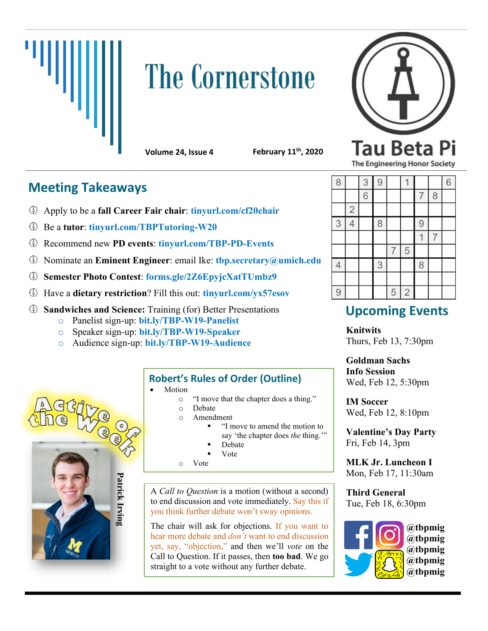

# **The Cornerstone**



**Volume 24, Issue 4 February 11th, 2020**

#### **The Engineering Honor Society**

## **Meeting Takeaways**

- Apply to be a **fall Career Fair chair**: **tinyurl.com/cf20chair**
- Be a **tutor**: **tinyurl.com/TBPTutoring-W20**
- Recommend new **PD events**: **tinyurl.com/TBP-PD-Events**
- Nominate an **Eminent Engineer**: email Ike: **tbp.secretary@umich.edu**
- **Semester Photo Contest**: **forms.gle/2Z6EpyjcXatTUmbz9**
- Have a **dietary restriction**? Fill this out: **tinyurl.com/yx57esov**
- **Sandwiches and Science:** Training (for) Better Presentations
	- o Panelist sign-up: **bit.ly/TBP-W19-Panelist**
	- o Speaker sign-up: **bit.ly/TBP-W19-Speaker**
	- o Audience sign-up: **bit.ly/TBP-W19-Audience**



### **Robert's Rules of Order (Outline)**

- **Motion** 
	- o "I move that the chapter does a thing."
	- o Debate
	- o Amendment
		- "I move to amend the motion to say 'the chapter does *the* thing.'"
		- **Debate**
		- **V**ote
	- o Vote

A *Call to Question* is a motion (without a second) to end discussion and vote immediately. Say this if you think further debate won't sway opinions.

The chair will ask for objections. If you want to hear more debate and *don't* want to end discussion yet, say, "objection," and then we'll *vote* on the Call to Question. If it passes, then **too bad**. We go straight to a vote without any further debate.

| 8              |                | 3              | 9 |                |                |                |   | 6 |
|----------------|----------------|----------------|---|----------------|----------------|----------------|---|---|
|                |                | $\overline{6}$ |   |                |                | $\overline{7}$ | 8 |   |
|                | $\overline{c}$ |                |   |                |                |                |   |   |
| 3              | 4              |                | 8 |                |                | 9              |   |   |
|                |                |                |   |                |                |                |   |   |
|                |                |                |   | $\overline{7}$ | 5              |                |   |   |
| $\overline{4}$ |                |                | 3 |                |                | 8              |   |   |
|                |                |                |   |                |                |                |   |   |
| 9              |                |                |   | 5              | $\overline{2}$ |                |   |   |

# **Upcoming Events**

**Knitwits** Thurs, Feb 13, 7:30pm

**Goldman Sachs Info Session** Wed, Feb 12, 5:30pm

**IM Soccer** Wed, Feb 12, 8:10pm

**Valentine's Day Party** Fri, Feb 14, 3pm

**MLK Jr. Luncheon I** Mon, Feb 17, 11:30am

**Third General** Tue, Feb 18, 6:30pm